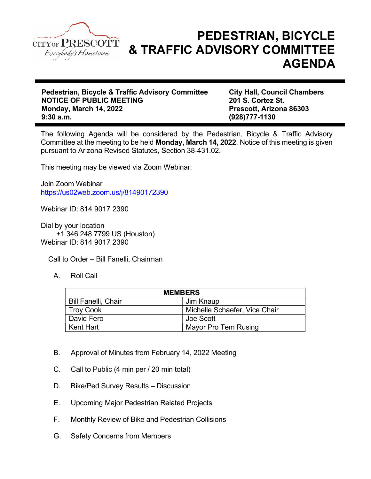

## PEDESTRIAN, BICYCLE & TRAFFIC ADVISORY COMMITTEE AGENDA

Pedestrian, Bicycle & Traffic Advisory Committee City Hall, Council Chambers NOTICE OF PUBLIC MEETING 201 S. Cortez St. Monday, March 14, 2022 **Prescott, Arizona 86303** 9:30 a.m. (928)777-1130

The following Agenda will be considered by the Pedestrian, Bicycle & Traffic Advisory Committee at the meeting to be held Monday, March 14, 2022. Notice of this meeting is given pursuant to Arizona Revised Statutes, Section 38-431.02.

This meeting may be viewed via Zoom Webinar:

Join Zoom Webinar https://us02web.zoom.us/j/81490172390

Webinar ID: 814 9017 2390

Dial by your location +1 346 248 7799 US (Houston) Webinar ID: 814 9017 2390

Call to Order – Bill Fanelli, Chairman

A. Roll Call

| <b>MEMBERS</b>             |                               |
|----------------------------|-------------------------------|
| <b>Bill Fanelli, Chair</b> | Jim Knaup                     |
| <b>Troy Cook</b>           | Michelle Schaefer, Vice Chair |
| David Fero                 | Joe Scott                     |
| Kent Hart                  | Mayor Pro Tem Rusing          |

- B. Approval of Minutes from February 14, 2022 Meeting
- C. Call to Public (4 min per / 20 min total)
- D. Bike/Ped Survey Results Discussion
- E. Upcoming Major Pedestrian Related Projects
- F. Monthly Review of Bike and Pedestrian Collisions
- G. Safety Concerns from Members